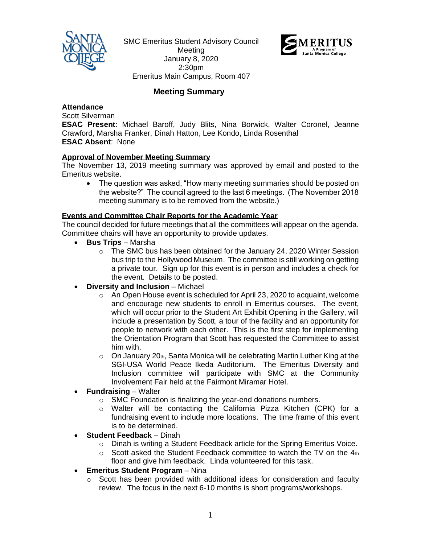

SMC Emeritus Student Advisory Council Meeting January 8, 2020 2:30pm Emeritus Main Campus, Room 407



# **Meeting Summary**

## **Attendance**

Scott Silverman

**ESAC Present**: Michael Baroff, Judy Blits, Nina Borwick, Walter Coronel, Jeanne Crawford, Marsha Franker, Dinah Hatton, Lee Kondo, Linda Rosenthal **ESAC Absent**: None

#### **Approval of November Meeting Summary**

The November 13, 2019 meeting summary was approved by email and posted to the Emeritus website.

• The question was asked, "How many meeting summaries should be posted on the website?" The council agreed to the last 6 meetings. (The November 2018 meeting summary is to be removed from the website.)

#### **Events and Committee Chair Reports for the Academic Year**

The council decided for future meetings that all the committees will appear on the agenda. Committee chairs will have an opportunity to provide updates.

- **Bus Trips** Marsha
	- $\circ$  The SMC bus has been obtained for the January 24, 2020 Winter Session bus trip to the Hollywood Museum. The committee is still working on getting a private tour. Sign up for this event is in person and includes a check for the event. Details to be posted.
- **Diversity and Inclusion** Michael
	- o An Open House event is scheduled for April 23, 2020 to acquaint, welcome and encourage new students to enroll in Emeritus courses. The event, which will occur prior to the Student Art Exhibit Opening in the Gallery, will include a presentation by Scott, a tour of the facility and an opportunity for people to network with each other. This is the first step for implementing the Orientation Program that Scott has requested the Committee to assist him with.
	- $\circ$  On January 20th, Santa Monica will be celebrating Martin Luther King at the SGI-USA World Peace Ikeda Auditorium. The Emeritus Diversity and Inclusion committee will participate with SMC at the Community Involvement Fair held at the Fairmont Miramar Hotel.
- **Fundraising** Walter
	- o SMC Foundation is finalizing the year-end donations numbers.
	- o Walter will be contacting the California Pizza Kitchen (CPK) for a fundraising event to include more locations. The time frame of this event is to be determined.
- **Student Feedback** Dinah
	- $\circ$  Dinah is writing a Student Feedback article for the Spring Emeritus Voice.
	- $\circ$  Scott asked the Student Feedback committee to watch the TV on the 4th floor and give him feedback. Linda volunteered for this task.
- **Emeritus Student Program** Nina
	- o Scott has been provided with additional ideas for consideration and faculty review. The focus in the next 6-10 months is short programs/workshops.